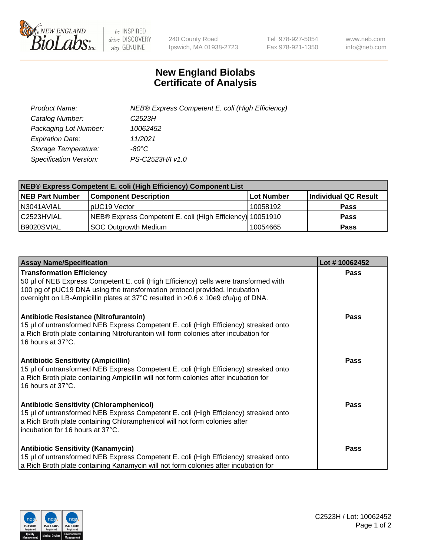

 $be$  INSPIRED drive DISCOVERY stay GENUINE

240 County Road Ipswich, MA 01938-2723 Tel 978-927-5054 Fax 978-921-1350 www.neb.com info@neb.com

## **New England Biolabs Certificate of Analysis**

| Product Name:           | NEB® Express Competent E. coli (High Efficiency) |
|-------------------------|--------------------------------------------------|
| Catalog Number:         | C <sub>2523</sub> H                              |
| Packaging Lot Number:   | 10062452                                         |
| <b>Expiration Date:</b> | 11/2021                                          |
| Storage Temperature:    | -80°C                                            |
| Specification Version:  | PS-C2523H/I v1.0                                 |

| <b>NEB® Express Competent E. coli (High Efficiency) Component List</b> |                                                           |            |                      |  |
|------------------------------------------------------------------------|-----------------------------------------------------------|------------|----------------------|--|
| <b>NEB Part Number</b>                                                 | <b>Component Description</b>                              | Lot Number | Individual QC Result |  |
| N3041AVIAL                                                             | pUC19 Vector                                              | 10058192   | <b>Pass</b>          |  |
| C <sub>2523</sub> HVIAL                                                | NEB® Express Competent E. coli (High Efficiency) 10051910 |            | <b>Pass</b>          |  |
| B9020SVIAL                                                             | <b>SOC Outgrowth Medium</b>                               | 10054665   | <b>Pass</b>          |  |

| <b>Assay Name/Specification</b>                                                                                                                                                                                                                                                            | Lot #10062452 |
|--------------------------------------------------------------------------------------------------------------------------------------------------------------------------------------------------------------------------------------------------------------------------------------------|---------------|
| <b>Transformation Efficiency</b><br>50 µl of NEB Express Competent E. coli (High Efficiency) cells were transformed with<br>100 pg of pUC19 DNA using the transformation protocol provided. Incubation<br>overnight on LB-Ampicillin plates at 37°C resulted in >0.6 x 10e9 cfu/ug of DNA. | Pass          |
| <b>Antibiotic Resistance (Nitrofurantoin)</b><br>15 µl of untransformed NEB Express Competent E. coli (High Efficiency) streaked onto<br>a Rich Broth plate containing Nitrofurantoin will form colonies after incubation for<br>16 hours at $37^{\circ}$ C.                               | <b>Pass</b>   |
| <b>Antibiotic Sensitivity (Ampicillin)</b><br>15 µl of untransformed NEB Express Competent E. coli (High Efficiency) streaked onto<br>a Rich Broth plate containing Ampicillin will not form colonies after incubation for<br>16 hours at 37°C.                                            | Pass          |
| <b>Antibiotic Sensitivity (Chloramphenicol)</b><br>15 µl of untransformed NEB Express Competent E. coli (High Efficiency) streaked onto<br>a Rich Broth plate containing Chloramphenicol will not form colonies after<br>incubation for 16 hours at 37°C.                                  | <b>Pass</b>   |
| <b>Antibiotic Sensitivity (Kanamycin)</b><br>15 µl of untransformed NEB Express Competent E. coli (High Efficiency) streaked onto<br>a Rich Broth plate containing Kanamycin will not form colonies after incubation for                                                                   | <b>Pass</b>   |